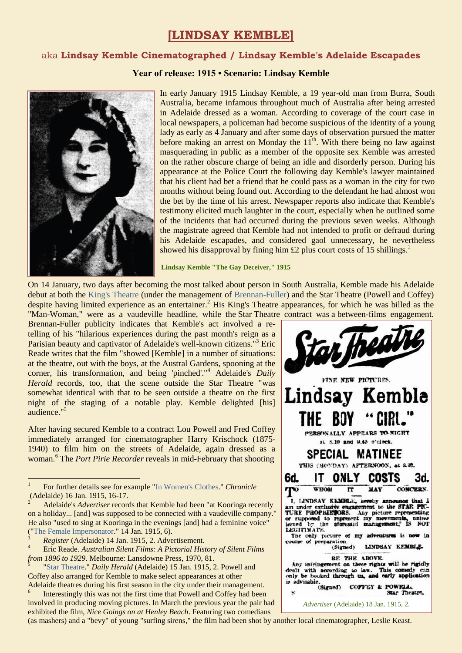# **[LINDSAY KEMBLE]**

## aka **Lindsay Kemble Cinematographed / Lindsay Kemble's Adelaide Escapades**

#### **Year of release: 1915 • Scenario: Lindsay Kemble**



In early January 1915 Lindsay Kemble, a 19 year-old man from Burra, South Australia, became infamous throughout much of Australia after being arrested in Adelaide dressed as a woman. According to coverage of the court case in local newspapers, a policeman had become suspicious of the identity of a young lady as early as 4 January and after some days of observation pursued the matter before making an arrest on Monday the  $11<sup>th</sup>$ . With there being no law against masquerading in public as a member of the opposite sex Kemble was arrested on the rather obscure charge of being an idle and disorderly person. During his appearance at the Police Court the following day Kemble's lawyer maintained that his client had bet a friend that he could pass as a woman in the city for two months without being found out. According to the defendant he had almost won the bet by the time of his arrest. Newspaper reports also indicate that Kemble's testimony elicited much laughter in the court, especially when he outlined some of the incidents that had occurred during the previous seven weeks. Although the magistrate agreed that Kemble had not intended to profit or defraud during his Adelaide escapades, and considered gaol unnecessary, he nevertheless showed his disapproval by fining him  $\pounds$  plus court costs of 15 shillings.<sup>1</sup>

**Lindsay Kemble "The Gay Deceiver," 1915**

On 14 January, two days after becoming the most talked about person in South Australia, Kemble made his Adelaide debut at both the [King's Theatre](https://ozvta.com/theatres-sa/) (under the management of [Brennan-Fuller\)](https://ozvta.com/organisations-a-l/) and the Star Theatre (Powell and Coffey) despite having limited experience as an entertainer.<sup>2</sup> His King's Theatre appearances, for which he was billed as the "Man-Woman," were as a vaudeville headline, while the Star Theatre contract was a between-films engagement.

Brennan-Fuller publicity indicates that Kemble's act involved a retelling of his "hilarious experiences during the past month's reign as a Parisian beauty and captivator of Adelaide's well-known citizens."<sup>3</sup> Eric Reade writes that the film "showed [Kemble] in a number of situations: at the theatre, out with the boys, at the Austral Gardens, spooning at the corner, his transformation, and being 'pinched'."<sup>4</sup> Adelaide's *Daily Herald* records, too, that the scene outside the Star Theatre "was somewhat identical with that to be seen outside a theatre on the first night of the staging of a notable play. Kemble delighted [his] audience." 5

After having secured Kemble to a contract Lou Powell and Fred Coffey immediately arranged for cinematographer Harry Krischock (1875- 1940) to film him on the streets of Adelaide, again dressed as a woman. <sup>6</sup> The *Port Pirie Recorder* reveals in mid-February that shooting

 $\overline{a}$ 

5 ["Star Theatre.](https://trove.nla.gov.au/newspaper/article/124915994)" *Daily Herald* (Adelaide) 15 Jan. 1915, 2. Powell and Coffey also arranged for Kemble to make select appearances at other Adelaide theatres during his first season in the city under their management.

6 Interestingly this was not the first time that Powell and Coffey had been involved in producing moving pictures. In March the previous year the pair had exhibited the film, *Nice Goings on at Henley Beach*. Featuring two comedians



(as mashers) and a "bevy" of young "surfing sirens," the film had been shot by another local cinematographer, Leslie Keast.

<sup>1</sup> For further details see for example ["In Women's Clothes.](http://nla.gov.au/nla.news-page8645575)" *Chronicle* Adelaide) 16 Jan. 1915, 16-17.

<sup>2</sup> Adelaide's *Advertiser* records that Kemble had been "at Kooringa recently on a holiday... [and] was supposed to be connected with a vaudeville company." He also "used to sing at Kooringa in the evenings [and] had a feminine voice" (["The Female Impersonator.](https://trove.nla.gov.au/newspaper/article/5439923)" 14 Jan. 1915, 6).

<sup>3</sup> *Register* (Adelaide) 14 Jan. 1915, 2. Advertisement.

<sup>4</sup> Eric Reade. *Australian Silent Films: A Pictorial History of Silent Films from 1896 to 1929*. Melbourne: Lansdowne Press, 1970, 81.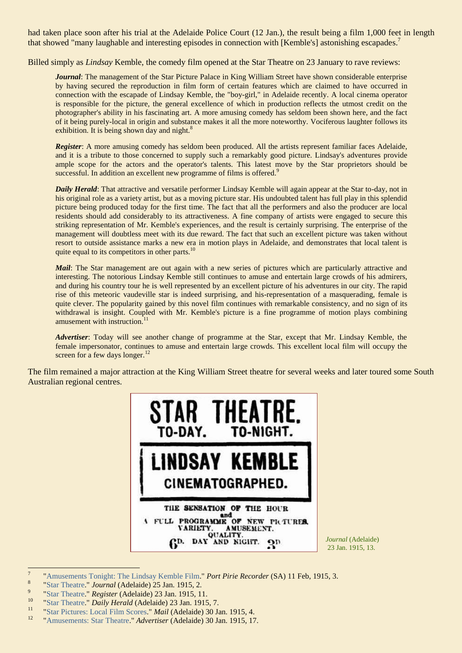had taken place soon after his trial at the Adelaide Police Court (12 Jan.), the result being a film 1,000 feet in length that showed "many laughable and interesting episodes in connection with [Kemble's] astonishing escapades.<sup>7</sup>

Billed simply as *Lindsay* Kemble, the comedy film opened at the Star Theatre on 23 January to rave reviews:

*Journal*: The management of the Star Picture Palace in King William Street have shown considerable enterprise by having secured the reproduction in film form of certain features which are claimed to have occurred in connection with the escapade of Lindsay Kemble, the "boy-girl," in Adelaide recently. A local cinema operator is responsible for the picture, the general excellence of which in production reflects the utmost credit on the photographer's ability in his fascinating art. A more amusing comedy has seldom been shown here, and the fact of it being purely-local in origin and substance makes it all the more noteworthy. Vociferous laughter follows its exhibition. It is being shown day and night.<sup>8</sup>

*Register*: A more amusing comedy has seldom been produced. All the artists represent familiar faces Adelaide, and it is a tribute to those concerned to supply such a remarkably good picture. Lindsay's adventures provide ample scope for the actors and the operator's talents. This latest move by the Star proprietors should be successful. In addition an excellent new programme of films is offered.<sup>9</sup>

*Daily Herald*: That attractive and versatile performer Lindsay Kemble will again appear at the Star to-day, not in his original role as a variety artist, but as a moving picture star. His undoubted talent has full play in this splendid picture being produced today for the first time. The fact that all the performers and also the producer are local residents should add considerably to its attractiveness. A fine company of artists were engaged to secure this striking representation of Mr. Kemble's experiences, and the result is certainly surprising. The enterprise of the management will doubtless meet with its due reward. The fact that such an excellent picture was taken without resort to outside assistance marks a new era in motion plays in Adelaide, and demonstrates that local talent is quite equal to its competitors in other parts.<sup>10</sup>

*Mail*: The Star management are out again with a new series of pictures which are particularly attractive and interesting. The notorious Lindsay Kemble still continues to amuse and entertain large crowds of his admirers, and during his country tour he is well represented by an excellent picture of his adventures in our city. The rapid rise of this meteoric vaudeville star is indeed surprising, and his-representation of a masquerading, female is quite clever. The popularity gained by this novel film continues with remarkable consistency, and no sign of its withdrawal is insight. Coupled with Mr. Kemble's picture is a fine programme of motion plays combining amusement with instruction.<sup>1</sup>

*Advertiser*: Today will see another change of programme at the Star, except that Mr. Lindsay Kemble, the female impersonator, continues to amuse and entertain large crowds. This excellent local film will occupy the screen for a few days longer.<sup>12</sup>

The film remained a major attraction at the King William Street theatre for several weeks and later toured some South Australian regional centres.



<sup>-&</sup>lt;br>7 ["Amusements Tonight: The Lindsay Kemble Film."](https://trove.nla.gov.au/newspaper/article/95314615) *Port Pirie Recorder* (SA) 11 Feb, 1915, 3.

<sup>8</sup> ["Star Theatre.](https://trove.nla.gov.au/newspaper/article/203531126)" *Journal* (Adelaide) 25 Jan. 1915, 2. 9

[<sup>&</sup>quot;Star Theatre.](https://trove.nla.gov.au/newspaper/article/59125633)" *Register* (Adelaide) 23 Jan. 1915, 11.

<sup>&</sup>lt;sup>10</sup> ["Star Theatre.](https://trove.nla.gov.au/newspaper/article/124917443)" *Daily Herald* (Adelaide) 23 Jan. 1915, 7.

<sup>11</sup> ["Star Pictures: Local Film Scores."](https://trove.nla.gov.au/newspaper/article/59296924) *Mail* (Adelaide) 30 Jan. 1915, 4.

<sup>12</sup> ["Amusements: Star Theatre.](https://trove.nla.gov.au/newspaper/page/970154)" *Advertiser* (Adelaide) 30 Jan. 1915, 17.